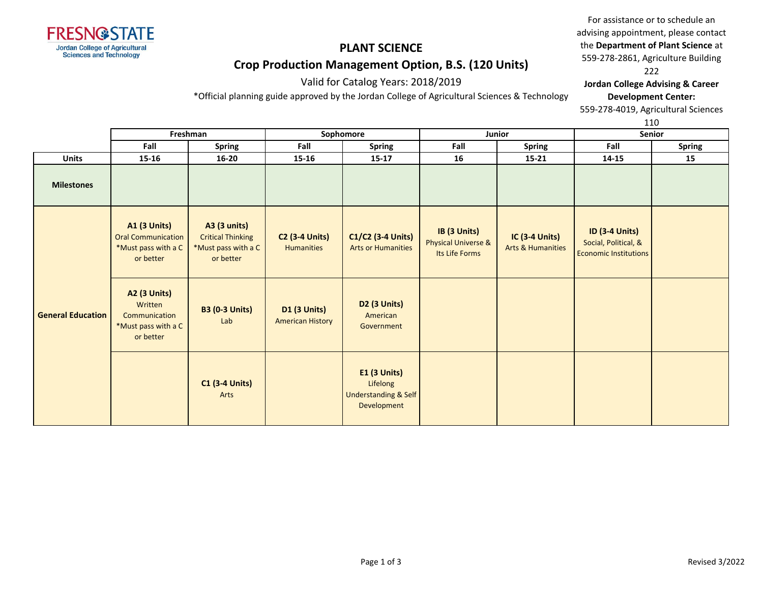

### Valid for Catalog Years: 2018/2019

\*Official planning guide approved by the Jordan College of Agricultural Sciences & Technology

For assistance or to schedule an advising appointment, please contact the **Department of Plant Science** at 559-278-2861, Agriculture Building 222

**Jordan College Advising & Career Development Center:**

559-278-4019, Agricultural Sciences

|                          |                                                                                      | Freshman                                                                     | Sophomore                                      |                                                                            | <b>Junior</b>                                                    |                                                       | ᆠᆂᇦ<br><b>Senior</b>                                                          |               |
|--------------------------|--------------------------------------------------------------------------------------|------------------------------------------------------------------------------|------------------------------------------------|----------------------------------------------------------------------------|------------------------------------------------------------------|-------------------------------------------------------|-------------------------------------------------------------------------------|---------------|
|                          | Fall                                                                                 | <b>Spring</b>                                                                | Fall                                           | <b>Spring</b>                                                              | Fall                                                             | <b>Spring</b>                                         | Fall                                                                          | <b>Spring</b> |
| <b>Units</b>             | 15-16                                                                                | $16 - 20$                                                                    | 15-16                                          | $15-17$                                                                    | 16                                                               | $15 - 21$                                             | 14-15                                                                         | 15            |
| <b>Milestones</b>        |                                                                                      |                                                                              |                                                |                                                                            |                                                                  |                                                       |                                                                               |               |
| <b>General Education</b> | <b>A1 (3 Units)</b><br><b>Oral Communication</b><br>*Must pass with a C<br>or better | A3 (3 units)<br><b>Critical Thinking</b><br>*Must pass with a C<br>or better | <b>C2 (3-4 Units)</b><br><b>Humanities</b>     | C1/C2 (3-4 Units)<br><b>Arts or Humanities</b>                             | IB (3 Units)<br><b>Physical Universe &amp;</b><br>Its Life Forms | <b>IC (3-4 Units)</b><br><b>Arts &amp; Humanities</b> | <b>ID (3-4 Units)</b><br>Social, Political, &<br><b>Economic Institutions</b> |               |
|                          | <b>A2 (3 Units)</b><br>Written<br>Communication<br>*Must pass with a C<br>or better  | <b>B3 (0-3 Units)</b><br>Lab                                                 | <b>D1 (3 Units)</b><br><b>American History</b> | D2 (3 Units)<br>American<br>Government                                     |                                                                  |                                                       |                                                                               |               |
|                          |                                                                                      | <b>C1 (3-4 Units)</b><br>Arts                                                |                                                | E1 (3 Units)<br>Lifelong<br><b>Understanding &amp; Self</b><br>Development |                                                                  |                                                       |                                                                               |               |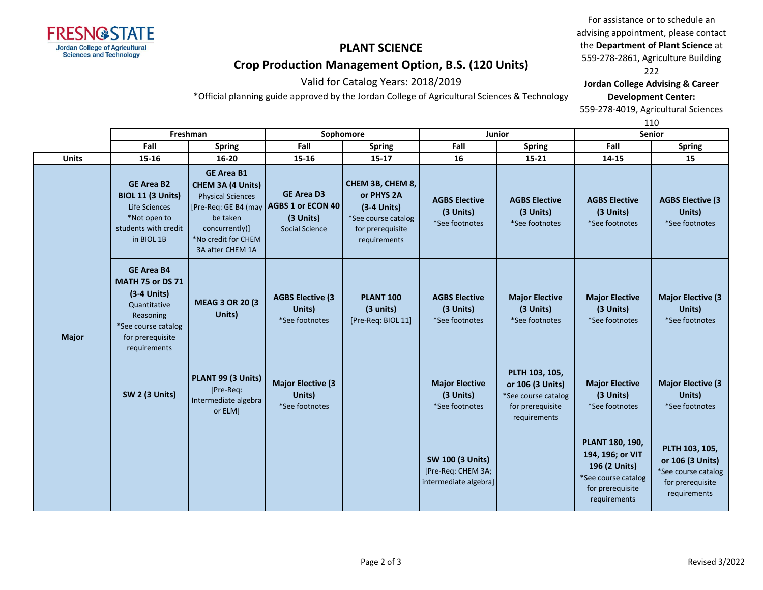

Valid for Catalog Years: 2018/2019

\*Official planning guide approved by the Jordan College of Agricultural Sciences & Technology

For assistance or to schedule an advising appointment, please contact the **Department of Plant Science** at 559-278-2861, Agriculture Building 222

**Jordan College Advising & Career Development Center:**

559-278-4019, Agricultural Sciences

|              |                                                                                                                                                       | Freshman                                                                                                                                    |                                                                                              | Sophomore                                                                                                  | Junior                                                                 |                                                                                               | <b>Senior</b>                                                                                                   |                                                                                               |
|--------------|-------------------------------------------------------------------------------------------------------------------------------------------------------|---------------------------------------------------------------------------------------------------------------------------------------------|----------------------------------------------------------------------------------------------|------------------------------------------------------------------------------------------------------------|------------------------------------------------------------------------|-----------------------------------------------------------------------------------------------|-----------------------------------------------------------------------------------------------------------------|-----------------------------------------------------------------------------------------------|
|              | Fall                                                                                                                                                  | <b>Spring</b>                                                                                                                               | Fall                                                                                         | <b>Spring</b>                                                                                              | Fall                                                                   | <b>Spring</b>                                                                                 | Fall                                                                                                            | <b>Spring</b>                                                                                 |
| <b>Units</b> | 15-16                                                                                                                                                 | $16 - 20$                                                                                                                                   | 15-16                                                                                        | $15 - 17$                                                                                                  | 16                                                                     | $15 - 21$                                                                                     | 14-15                                                                                                           | 15                                                                                            |
| <b>Major</b> | <b>GE Area B2</b><br><b>BIOL 11 (3 Units)</b><br>Life Sciences<br>*Not open to<br>students with credit<br>in BIOL 1B                                  | <b>GE Area B1</b><br>CHEM 3A (4 Units)<br><b>Physical Sciences</b><br>be taken<br>concurrently)]<br>*No credit for CHEM<br>3A after CHEM 1A | <b>GE Area D3</b><br>[Pre-Req: GE B4 (may   AGBS 1 or ECON 40<br>(3 Units)<br>Social Science | CHEM 3B, CHEM 8,<br>or PHYS 2A<br>$(3-4$ Units)<br>*See course catalog<br>for prerequisite<br>requirements | <b>AGBS Elective</b><br>(3 Units)<br>*See footnotes                    | <b>AGBS Elective</b><br>(3 Units)<br>*See footnotes                                           | <b>AGBS Elective</b><br>(3 Units)<br>*See footnotes                                                             | <b>AGBS Elective (3</b><br>Units)<br>*See footnotes                                           |
|              | <b>GE Area B4</b><br><b>MATH 75 or DS 71</b><br>$(3-4$ Units)<br>Quantitative<br>Reasoning<br>*See course catalog<br>for prerequisite<br>requirements | <b>MEAG 3 OR 20 (3)</b><br>Units)                                                                                                           | <b>AGBS Elective (3</b><br>Units)<br>*See footnotes                                          | <b>PLANT 100</b><br>(3 units)<br>[Pre-Req: BIOL 11]                                                        | <b>AGBS Elective</b><br>(3 Units)<br>*See footnotes                    | <b>Major Elective</b><br>(3 Units)<br>*See footnotes                                          | <b>Major Elective</b><br>(3 Units)<br>*See footnotes                                                            | <b>Major Elective (3</b><br>Units)<br>*See footnotes                                          |
|              | SW 2 (3 Units)                                                                                                                                        | PLANT 99 (3 Units)<br>[Pre-Req:<br>Intermediate algebra<br>or ELM]                                                                          | <b>Major Elective (3</b><br>Units)<br>*See footnotes                                         |                                                                                                            | <b>Major Elective</b><br>(3 Units)<br>*See footnotes                   | PLTH 103, 105,<br>or 106 (3 Units)<br>*See course catalog<br>for prerequisite<br>requirements | <b>Major Elective</b><br>(3 Units)<br>*See footnotes                                                            | <b>Major Elective (3</b><br>Units)<br>*See footnotes                                          |
|              |                                                                                                                                                       |                                                                                                                                             |                                                                                              |                                                                                                            | <b>SW 100 (3 Units)</b><br>[Pre-Req: CHEM 3A;<br>intermediate algebra] |                                                                                               | PLANT 180, 190,<br>194, 196; or VIT<br>196 (2 Units)<br>*See course catalog<br>for prerequisite<br>requirements | PLTH 103, 105,<br>or 106 (3 Units)<br>*See course catalog<br>for prerequisite<br>requirements |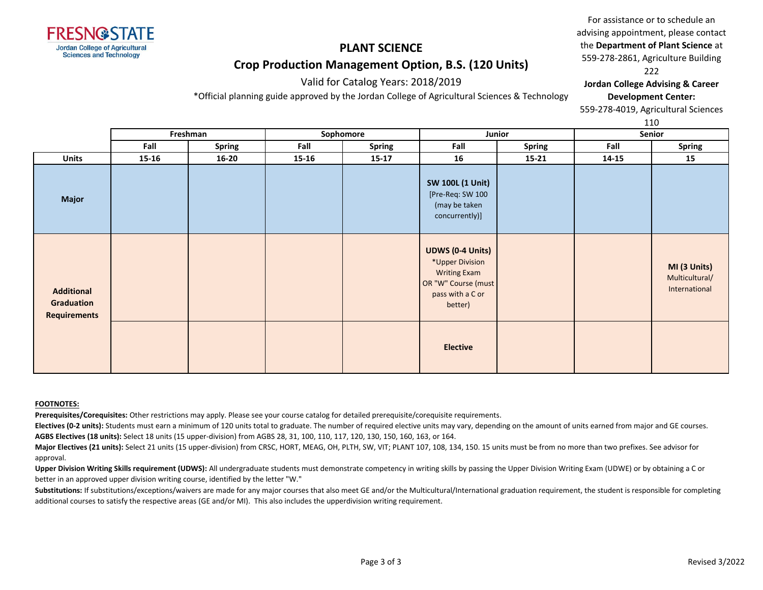

Valid for Catalog Years: 2018/2019 \*Official planning guide approved by the Jordan College of Agricultural Sciences & Technology

For assistance or to schedule an advising appointment, please contact the **Department of Plant Science** at 559-278-2861, Agriculture Building 222

**Jordan College Advising & Career Development Center:**

559-278-4019, Agricultural Sciences

110

|                                                        | Freshman |               | Sophomore |               | Junior                                                                                                                  |               | Senior |                                                 |
|--------------------------------------------------------|----------|---------------|-----------|---------------|-------------------------------------------------------------------------------------------------------------------------|---------------|--------|-------------------------------------------------|
|                                                        | Fall     | <b>Spring</b> | Fall      | <b>Spring</b> | Fall                                                                                                                    | <b>Spring</b> | Fall   | <b>Spring</b>                                   |
| <b>Units</b>                                           | 15-16    | $16 - 20$     | 15-16     | $15-17$       | 16                                                                                                                      | $15 - 21$     | 14-15  | 15                                              |
| <b>Major</b>                                           |          |               |           |               | <b>SW 100L (1 Unit)</b><br>[Pre-Req: SW 100<br>(may be taken<br>concurrently)]                                          |               |        |                                                 |
| <b>Additional</b><br>Graduation<br><b>Requirements</b> |          |               |           |               | <b>UDWS (0-4 Units)</b><br>*Upper Division<br><b>Writing Exam</b><br>OR "W" Course (must<br>pass with a C or<br>better) |               |        | MI (3 Units)<br>Multicultural/<br>International |
|                                                        |          |               |           |               | <b>Elective</b>                                                                                                         |               |        |                                                 |

#### **FOOTNOTES:**

**Prerequisites/Corequisites:** Other restrictions may apply. Please see your course catalog for detailed prerequisite/corequisite requirements.

Electives (0-2 units): Students must earn a minimum of 120 units total to graduate. The number of required elective units may vary, depending on the amount of units earned from major and GE courses. **AGBS Electives (18 units):** Select 18 units (15 upper-division) from AGBS 28, 31, 100, 110, 117, 120, 130, 150, 160, 163, or 164.

**Major Electives (21 units):** Select 21 units (15 upper-division) from CRSC, HORT, MEAG, OH, PLTH, SW, VIT; PLANT 107, 108, 134, 150. 15 units must be from no more than two prefixes. See advisor for approval.

Upper Division Writing Skills requirement (UDWS): All undergraduate students must demonstrate competency in writing skills by passing the Upper Division Writing Exam (UDWE) or by obtaining a C or better in an approved upper division writing course, identified by the letter "W."

Substitutions: If substitutions/exceptions/waivers are made for any major courses that also meet GE and/or the Multicultural/International graduation requirement, the student is responsible for completing additional courses to satisfy the respective areas (GE and/or MI). This also includes the upperdivision writing requirement.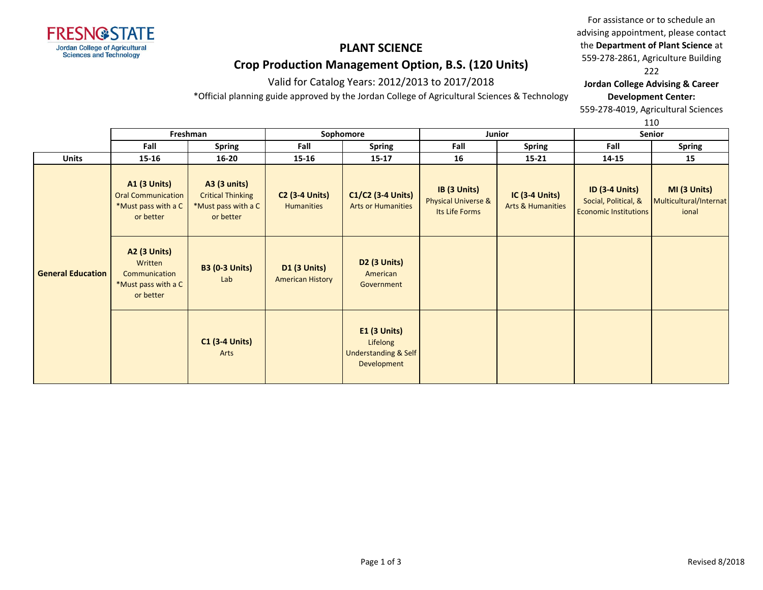

Valid for Catalog Years: 2012/2013 to 2017/2018

\*Official planning guide approved by the Jordan College of Agricultural Sciences & Technology

For assistance or to schedule an advising appointment, please contact the **Department of Plant Science** at 559-278-2861, Agriculture Building 222

**Jordan College Advising & Career Development Center:**

559-278-4019, Agricultural Sciences

|                          |                                                                                      |                                                                                     |                                                |                                                                        |                                                                  |                                                       |                                                                               | ᆠᅶᅜ                                             |
|--------------------------|--------------------------------------------------------------------------------------|-------------------------------------------------------------------------------------|------------------------------------------------|------------------------------------------------------------------------|------------------------------------------------------------------|-------------------------------------------------------|-------------------------------------------------------------------------------|-------------------------------------------------|
|                          |                                                                                      | Freshman                                                                            |                                                | Sophomore                                                              |                                                                  | Junior                                                |                                                                               | Senior                                          |
|                          | Fall                                                                                 | <b>Spring</b>                                                                       | Fall                                           | Spring                                                                 | Fall                                                             | <b>Spring</b>                                         | Fall                                                                          | <b>Spring</b>                                   |
| <b>Units</b>             | $15 - 16$                                                                            | $16 - 20$                                                                           | 15-16                                          | $15 - 17$                                                              | 16                                                               | $15 - 21$                                             | 14-15                                                                         | 15                                              |
| <b>General Education</b> | <b>A1 (3 Units)</b><br><b>Oral Communication</b><br>*Must pass with a C<br>or better | <b>A3 (3 units)</b><br><b>Critical Thinking</b><br>*Must pass with a C<br>or better | <b>C2 (3-4 Units)</b><br><b>Humanities</b>     | C1/C2 (3-4 Units)<br><b>Arts or Humanities</b>                         | IB (3 Units)<br><b>Physical Universe &amp;</b><br>Its Life Forms | <b>IC (3-4 Units)</b><br><b>Arts &amp; Humanities</b> | <b>ID (3-4 Units)</b><br>Social, Political, &<br><b>Economic Institutions</b> | MI (3 Units)<br>Multicultural/Internat<br>ional |
|                          | <b>A2 (3 Units)</b><br>Written<br>Communication<br>*Must pass with a C<br>or better  | <b>B3 (0-3 Units)</b><br>Lab                                                        | <b>D1 (3 Units)</b><br><b>American History</b> | D <sub>2</sub> (3 Units)<br>American<br>Government                     |                                                                  |                                                       |                                                                               |                                                 |
|                          |                                                                                      | <b>C1 (3-4 Units)</b><br>Arts                                                       |                                                | <b>E1 (3 Units)</b><br>Lifelong<br>Understanding & Self<br>Development |                                                                  |                                                       |                                                                               |                                                 |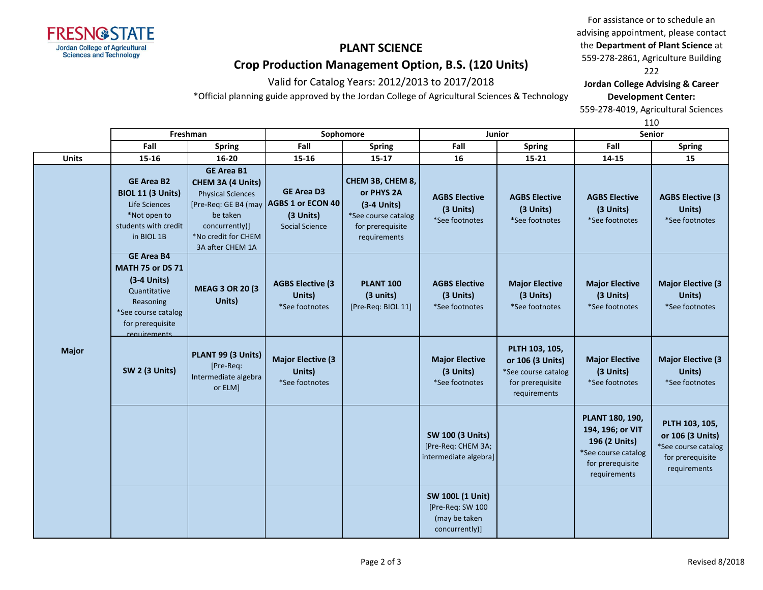

Valid for Catalog Years: 2012/2013 to 2017/2018

\*Official planning guide approved by the Jordan College of Agricultural Sciences & Technology

For assistance or to schedule an advising appointment, please contact the **Department of Plant Science** at 559-278-2861, Agriculture Building 222

**Jordan College Advising & Career Development Center:**

559-278-4019, Agricultural Sciences

|              |                                                                                                                                                       | Freshman                                                                                                                                                            |                                                                              | Sophomore                                                                                                  | Junior                                                                         |                                                                                               | Senior                                                                                                          |                                                                                               |
|--------------|-------------------------------------------------------------------------------------------------------------------------------------------------------|---------------------------------------------------------------------------------------------------------------------------------------------------------------------|------------------------------------------------------------------------------|------------------------------------------------------------------------------------------------------------|--------------------------------------------------------------------------------|-----------------------------------------------------------------------------------------------|-----------------------------------------------------------------------------------------------------------------|-----------------------------------------------------------------------------------------------|
|              | Fall                                                                                                                                                  | <b>Spring</b>                                                                                                                                                       | Fall                                                                         | <b>Spring</b>                                                                                              | Fall                                                                           | <b>Spring</b>                                                                                 | Fall                                                                                                            | <b>Spring</b>                                                                                 |
| <b>Units</b> | 15-16                                                                                                                                                 | 16-20                                                                                                                                                               | $15 - 16$                                                                    | $15 - 17$                                                                                                  | 16                                                                             | 15-21                                                                                         | 14-15                                                                                                           | 15                                                                                            |
|              | <b>GE Area B2</b><br><b>BIOL 11 (3 Units)</b><br>Life Sciences<br>*Not open to<br>students with credit<br>in BIOL 1B                                  | <b>GE Area B1</b><br>CHEM 3A (4 Units)<br><b>Physical Sciences</b><br>[Pre-Req: GE B4 (may<br>be taken<br>concurrently)]<br>*No credit for CHEM<br>3A after CHEM 1A | <b>GE Area D3</b><br>AGBS 1 or ECON 40<br>(3 Units)<br><b>Social Science</b> | CHEM 3B, CHEM 8,<br>or PHYS 2A<br>$(3-4$ Units)<br>*See course catalog<br>for prerequisite<br>requirements | <b>AGBS Elective</b><br>(3 Units)<br>*See footnotes                            | <b>AGBS Elective</b><br>(3 Units)<br>*See footnotes                                           | <b>AGBS Elective</b><br>(3 Units)<br>*See footnotes                                                             | <b>AGBS Elective (3)</b><br>Units)<br>*See footnotes                                          |
|              | <b>GE Area B4</b><br><b>MATH 75 or DS 71</b><br>$(3-4$ Units)<br>Quantitative<br>Reasoning<br>*See course catalog<br>for prerequisite<br>requirements | <b>MEAG 3 OR 20 (3)</b><br>Units)                                                                                                                                   | <b>AGBS Elective (3)</b><br>Units)<br>*See footnotes                         | <b>PLANT 100</b><br>(3 units)<br>[Pre-Req: BIOL 11]                                                        | <b>AGBS Elective</b><br>(3 Units)<br>*See footnotes                            | <b>Major Elective</b><br>(3 Units)<br>*See footnotes                                          | <b>Major Elective</b><br>(3 Units)<br>*See footnotes                                                            | <b>Major Elective (3</b><br>Units)<br>*See footnotes                                          |
| <b>Major</b> | SW 2 (3 Units)                                                                                                                                        | PLANT 99 (3 Units)<br>[Pre-Req:<br>Intermediate algebra<br>or ELM]                                                                                                  | <b>Major Elective (3</b><br>Units)<br>*See footnotes                         |                                                                                                            | <b>Major Elective</b><br>(3 Units)<br>*See footnotes                           | PLTH 103, 105,<br>or 106 (3 Units)<br>*See course catalog<br>for prerequisite<br>requirements | <b>Major Elective</b><br>(3 Units)<br>*See footnotes                                                            | <b>Major Elective (3</b><br>Units)<br>*See footnotes                                          |
|              |                                                                                                                                                       |                                                                                                                                                                     |                                                                              |                                                                                                            | <b>SW 100 (3 Units)</b><br>[Pre-Req: CHEM 3A;<br>intermediate algebra]         |                                                                                               | PLANT 180, 190,<br>194, 196; or VIT<br>196 (2 Units)<br>*See course catalog<br>for prerequisite<br>requirements | PLTH 103, 105,<br>or 106 (3 Units)<br>*See course catalog<br>for prerequisite<br>requirements |
|              |                                                                                                                                                       |                                                                                                                                                                     |                                                                              |                                                                                                            | <b>SW 100L (1 Unit)</b><br>[Pre-Req: SW 100<br>(may be taken<br>concurrently)] |                                                                                               |                                                                                                                 |                                                                                               |